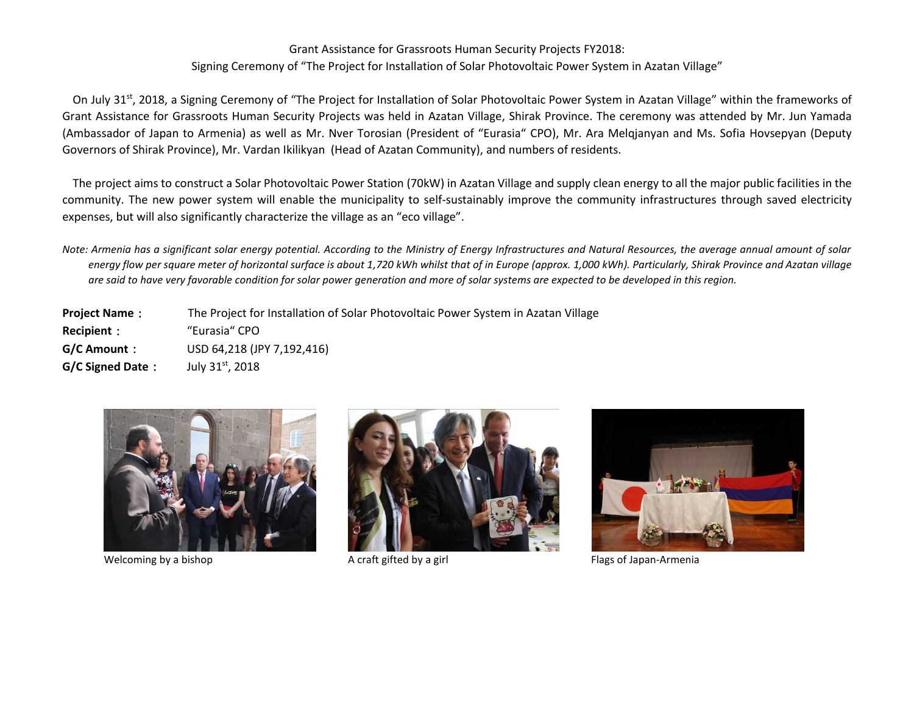## Grant Assistance for Grassroots Human Security Projects FY2018: Signing Ceremony of "The Project for Installation of Solar Photovoltaic Power System in Azatan Village"

On July 31<sup>st</sup>, 2018, a Signing Ceremony of "The Project for Installation of Solar Photovoltaic Power System in Azatan Village" within the frameworks of Grant Assistance for Grassroots Human Security Projects was held in Azatan Village, Shirak Province. The ceremony was attended by Mr. Jun Yamada (Ambassador of Japan to Armenia) as well as Mr. Nver Torosian (President of "Eurasia" CPO), Mr. Ara Melqjanyan and Ms. Sofia Hovsepyan (Deputy Governors of Shirak Province), Mr. Vardan Ikilikyan (Head of Azatan Community), and numbers of residents.

The project aims to construct a Solar Photovoltaic Power Station (70kW) in Azatan Village and supply clean energy to all the major public facilities in the community. The new power system will enable the municipality to self-sustainably improve the community infrastructures through saved electricity expenses, but will also significantly characterize the village as an "eco village".

*Note: Armenia has a significant solar energy potential. According to the Ministry of Energy Infrastructures and Natural Resources, the average annual amount of solar energy flow per square meter of horizontal surface is about 1,720 kWh whilst that of in Europe (approx. 1,000 kWh). Particularly, Shirak Province and Azatan village are said to have very favorable condition for solar power generation and more of solar systems are expected to be developed in this region.*

**Project Name**: The Project for Installation of Solar Photovoltaic Power System in Azatan Village **Recipient**: "Eurasia" CPO **G/C Amount**: USD 64,218 (JPY 7,192,416) **G/C Signed Date:** July 31<sup>st</sup>, 2018







Welcoming by a bishop Theorem A craft gifted by a girl Theorem and Theorem Chapan-Armenia